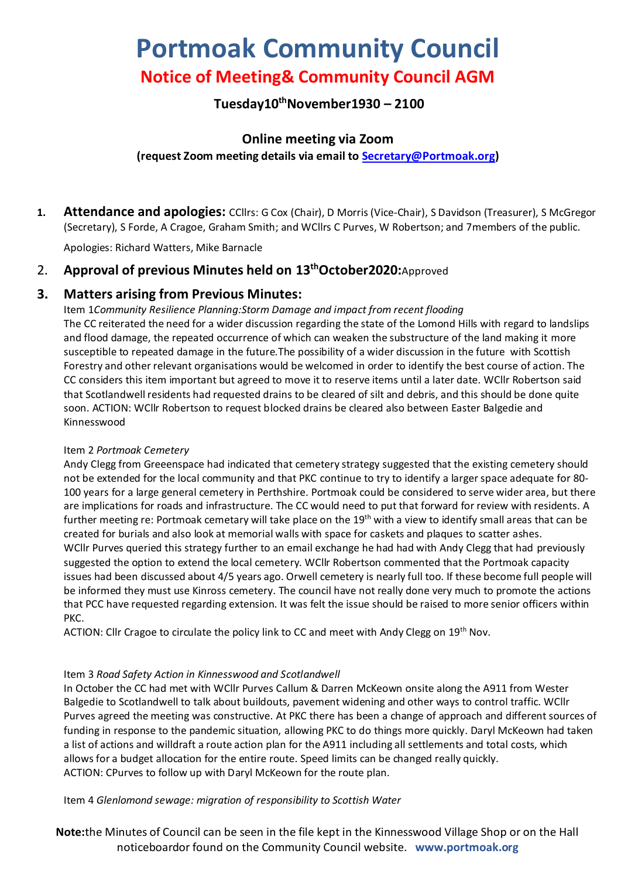# **Portmoak Community Council Notice of Meeting& Community Council AGM**

# **Tuesday10 thNovember1930 – 2100**

# **Online meeting via Zoom**

## **(request Zoom meeting details via email to [Secretary@Portmoak.org\)](mailto:Secretary@Portmoak.org)**

**1. Attendance and apologies:** CCllrs: G Cox (Chair), D Morris (Vice-Chair), S Davidson (Treasurer), S McGregor (Secretary), S Forde, A Cragoe, Graham Smith; and WCllrs C Purves, W Robertson; and 7members of the public.

Apologies: Richard Watters, Mike Barnacle

# 2. **Approval of previous Minutes held on 13 thOctober2020:**Approved

# **3. Matters arising from Previous Minutes:**

Item 1*Community Resilience Planning:Storm Damage and impact from recent flooding* The CC reiterated the need for a wider discussion regarding the state of the Lomond Hills with regard to landslips and flood damage, the repeated occurrence of which can weaken the substructure of the land making it more susceptible to repeated damage in the future.The possibility of a wider discussion in the future with Scottish Forestry and other relevant organisations would be welcomed in order to identify the best course of action. The CC considers this item important but agreed to move it to reserve items until a later date. WCllr Robertson said that Scotlandwell residents had requested drains to be cleared of silt and debris, and this should be done quite soon. ACTION: WCllr Robertson to request blocked drains be cleared also between Easter Balgedie and Kinnesswood

#### Item 2 *Portmoak Cemetery*

Andy Clegg from Greeenspace had indicated that cemetery strategy suggested that the existing cemetery should not be extended for the local community and that PKC continue to try to identify a larger space adequate for 80- 100 years for a large general cemetery in Perthshire. Portmoak could be considered to serve wider area, but there are implications for roads and infrastructure. The CC would need to put that forward for review with residents. A further meeting re: Portmoak cemetary will take place on the 19<sup>th</sup> with a view to identify small areas that can be created for burials and also look at memorial walls with space for caskets and plaques to scatter ashes. WCllr Purves queried this strategy further to an email exchange he had had with Andy Clegg that had previously suggested the option to extend the local cemetery. WCllr Robertson commented that the Portmoak capacity issues had been discussed about 4/5 years ago. Orwell cemetery is nearly full too. If these become full people will be informed they must use Kinross cemetery. The council have not really done very much to promote the actions that PCC have requested regarding extension. It was felt the issue should be raised to more senior officers within PKC.

ACTION: Cllr Cragoe to circulate the policy link to CC and meet with Andy Clegg on 19<sup>th</sup> Nov.

## Item 3 *Road Safety Action in Kinnesswood and Scotlandwell*

In October the CC had met with WCllr Purves Callum & Darren McKeown onsite along the A911 from Wester Balgedie to Scotlandwell to talk about buildouts, pavement widening and other ways to control traffic. WCllr Purves agreed the meeting was constructive. At PKC there has been a change of approach and different sources of funding in response to the pandemic situation, allowing PKC to do things more quickly. Daryl McKeown had taken a list of actions and willdraft a route action plan for the A911 including all settlements and total costs, which allows for a budget allocation for the entire route. Speed limits can be changed really quickly. ACTION: CPurves to follow up with Daryl McKeown for the route plan.

Item 4 *Glenlomond sewage: migration of responsibility to Scottish Water*

**Note:**the Minutes of Council can be seen in the file kept in the Kinnesswood Village Shop or on the Hall noticeboardor found on the Community Council website. **www.portmoak.org**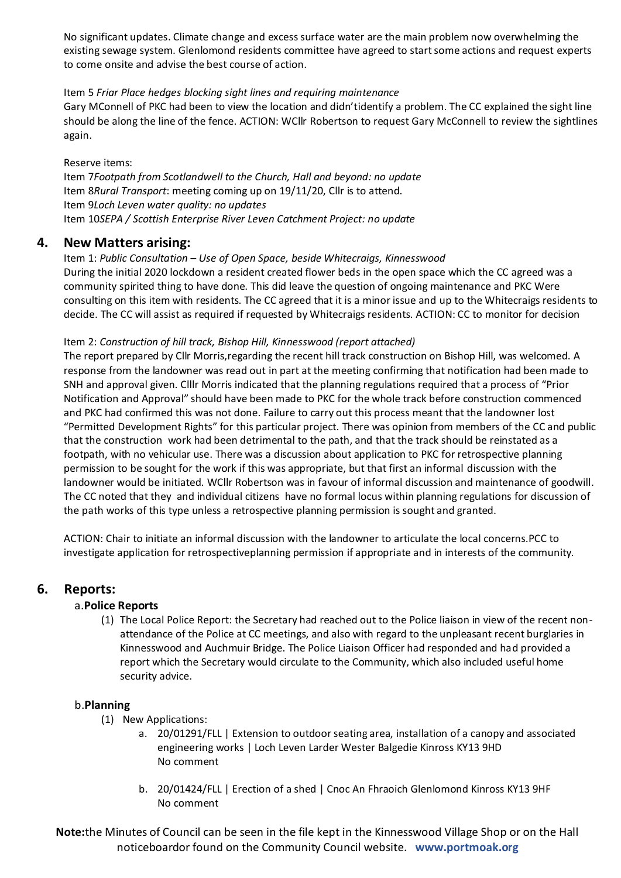No significant updates. Climate change and excess surface water are the main problem now overwhelming the existing sewage system. Glenlomond residents committee have agreed to start some actions and request experts to come onsite and advise the best course of action.

#### Item 5 *Friar Place hedges blocking sight lines and requiring maintenance*

Gary MConnell of PKC had been to view the location and didn'tidentify a problem. The CC explained the sight line should be along the line of the fence. ACTION: WCllr Robertson to request Gary McConnell to review the sightlines again.

#### Reserve items:

Item 7*Footpath from Scotlandwell to the Church, Hall and beyond: no update* Item 8*Rural Transport*: meeting coming up on 19/11/20, Cllr is to attend. Item 9*Loch Leven water quality: no updates* Item 10*SEPA / Scottish Enterprise River Leven Catchment Project: no update*

### **4. New Matters arising:**

Item 1: *Public Consultation – Use of Open Space, beside Whitecraigs, Kinnesswood* During the initial 2020 lockdown a resident created flower beds in the open space which the CC agreed was a community spirited thing to have done. This did leave the question of ongoing maintenance and PKC Were consulting on this item with residents. The CC agreed that it is a minor issue and up to the Whitecraigs residents to decide. The CC will assist as required if requested by Whitecraigs residents. ACTION: CC to monitor for decision

#### Item 2: *Construction of hill track, Bishop Hill, Kinnesswood (report attached)*

The report prepared by Cllr Morris,regarding the recent hill track construction on Bishop Hill, was welcomed. A response from the landowner was read out in part at the meeting confirming that notification had been made to SNH and approval given. Clllr Morris indicated that the planning regulations required that a process of "Prior Notification and Approval" should have been made to PKC for the whole track before construction commenced and PKC had confirmed this was not done. Failure to carry out this process meant that the landowner lost "Permitted Development Rights" for this particular project. There was opinion from members of the CC and public that the construction work had been detrimental to the path, and that the track should be reinstated as a footpath, with no vehicular use. There was a discussion about application to PKC for retrospective planning permission to be sought for the work if this was appropriate, but that first an informal discussion with the landowner would be initiated. WCllr Robertson was in favour of informal discussion and maintenance of goodwill. The CC noted that they and individual citizens have no formal locus within planning regulations for discussion of the path works of this type unless a retrospective planning permission is sought and granted.

ACTION: Chair to initiate an informal discussion with the landowner to articulate the local concerns.PCC to investigate application for retrospectiveplanning permission if appropriate and in interests of the community.

## **6. Reports:**

#### a.**Police Reports**

(1) The Local Police Report: the Secretary had reached out to the Police liaison in view of the recent nonattendance of the Police at CC meetings, and also with regard to the unpleasant recent burglaries in Kinnesswood and Auchmuir Bridge. The Police Liaison Officer had responded and had provided a report which the Secretary would circulate to the Community, which also included useful home security advice.

#### b.**Planning**

- (1) New Applications:
	- a. 20/01291/FLL | Extension to outdoor seating area, installation of a canopy and associated engineering works | Loch Leven Larder Wester Balgedie Kinross KY13 9HD No comment
	- b. 20/01424/FLL | Erection of a shed | Cnoc An Fhraoich Glenlomond Kinross KY13 9HF No comment

**Note:**the Minutes of Council can be seen in the file kept in the Kinnesswood Village Shop or on the Hall noticeboardor found on the Community Council website. **www.portmoak.org**